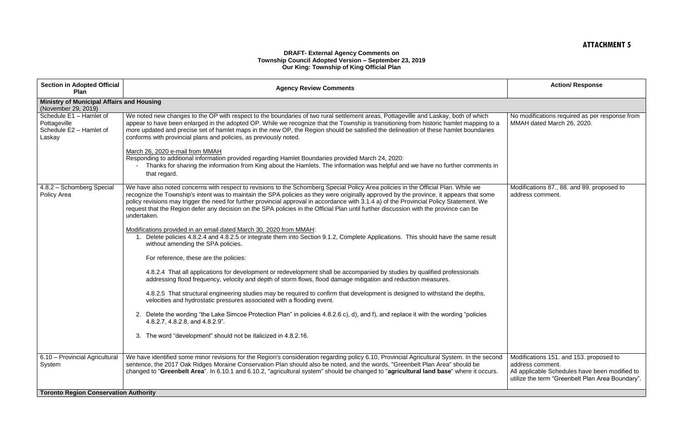## **ATTACHMENT 5**

## **DRAFT- External Agency Comments on Township Council Adopted Version – September 23, 2019 Our King: Township of King Official Plan**

| <b>Section in Adopted Official</b><br>Plan                                   | <b>Agency Review Comments</b>                                                                                                                                                                                                                                                                                                                                                                                                                                                                                                                                                     | <b>Action/ Response</b>                                                                                                           |
|------------------------------------------------------------------------------|-----------------------------------------------------------------------------------------------------------------------------------------------------------------------------------------------------------------------------------------------------------------------------------------------------------------------------------------------------------------------------------------------------------------------------------------------------------------------------------------------------------------------------------------------------------------------------------|-----------------------------------------------------------------------------------------------------------------------------------|
| <b>Ministry of Municipal Affairs and Housing</b><br>(November 29, 2019)      |                                                                                                                                                                                                                                                                                                                                                                                                                                                                                                                                                                                   |                                                                                                                                   |
| Schedule E1 - Hamlet of<br>Pottageville<br>Schedule E2 - Hamlet of<br>Laskay | We noted new changes to the OP with respect to the boundaries of two rural settlement areas, Pottageville and Laskay, both of which<br>appear to have been enlarged in the adopted OP. While we recognize that the Township is transitioning from historic hamlet mapping to a<br>more updated and precise set of hamlet maps in the new OP, the Region should be satisfied the delineation of these hamlet boundaries<br>conforms with provincial plans and policies, as previously noted.                                                                                       | No modifications required as per r<br>MMAH dated March 26, 2020.                                                                  |
|                                                                              | March 26, 2020 e-mail from MMAH<br>Responding to additional information provided regarding Hamlet Boundaries provided March 24, 2020:<br>Thanks for sharing the information from King about the Hamlets. The information was helpful and we have no further comments in<br>that regard.                                                                                                                                                                                                                                                                                           |                                                                                                                                   |
| 4.8.2 - Schomberg Special<br>Policy Area                                     | We have also noted concerns with respect to revisions to the Schomberg Special Policy Area policies in the Official Plan. While we<br>recognize the Township's intent was to maintain the SPA policies as they were originally approved by the province, it appears that some<br>policy revisions may trigger the need for further provincial approval in accordance with 3.1.4 a) of the Provincial Policy Statement. We<br>request that the Region defer any decision on the SPA policies in the Official Plan until further discussion with the province can be<br>undertaken. | Modifications 87., 88. and 89. prop<br>address comment.                                                                           |
|                                                                              | Modifications provided in an email dated March 30, 2020 from MMAH:<br>1. Delete policies 4.8.2.4 and 4.8.2.5 or integrate them into Section 9.1.2, Complete Applications. This should have the same result<br>without amending the SPA policies.                                                                                                                                                                                                                                                                                                                                  |                                                                                                                                   |
|                                                                              | For reference, these are the policies:                                                                                                                                                                                                                                                                                                                                                                                                                                                                                                                                            |                                                                                                                                   |
|                                                                              | 4.8.2.4 That all applications for development or redevelopment shall be accompanied by studies by qualified professionals<br>addressing flood frequency, velocity and depth of storm flows, flood damage mitigation and reduction measures.                                                                                                                                                                                                                                                                                                                                       |                                                                                                                                   |
|                                                                              | 4.8.2.5 That structural engineering studies may be required to confirm that development is designed to withstand the depths,<br>velocities and hydrostatic pressures associated with a flooding event.                                                                                                                                                                                                                                                                                                                                                                            |                                                                                                                                   |
|                                                                              | 2. Delete the wording "the Lake Simcoe Protection Plan" in policies 4.8.2.6 c), d), and f), and replace it with the wording "policies<br>4.8.2.7, 4.8.2.8, and 4.8.2.9".                                                                                                                                                                                                                                                                                                                                                                                                          |                                                                                                                                   |
|                                                                              | 3. The word "development" should not be italicized in 4.8.2.16.                                                                                                                                                                                                                                                                                                                                                                                                                                                                                                                   |                                                                                                                                   |
| 6.10 - Provincial Agricultural<br>System                                     | We have identified some minor revisions for the Region's consideration regarding policy 6.10, Provincial Agricultural System. In the second<br>sentence, the 2017 Oak Ridges Moraine Conservation Plan should also be noted, and the words, "Greenbelt Plan Area" should be<br>changed to "Greenbelt Area". In 6.10.1 and 6.10.2, "agricultural system" should be changed to "agricultural land base" where it occurs.                                                                                                                                                            | Modifications 151. and 153. propo<br>address comment.<br>All applicable Schedules have bee<br>utilize the term "Greenbelt Plan Ar |
| <b>Toronto Region Conservation Authority</b>                                 |                                                                                                                                                                                                                                                                                                                                                                                                                                                                                                                                                                                   |                                                                                                                                   |

|   | <b>Action/ Response</b>                                                                                                                                           |
|---|-------------------------------------------------------------------------------------------------------------------------------------------------------------------|
|   |                                                                                                                                                                   |
|   | No modifications required as per response from<br>MMAH dated March 26, 2020.                                                                                      |
|   |                                                                                                                                                                   |
|   | Modifications 87., 88. and 89. proposed to<br>address comment.                                                                                                    |
| d | Modifications 151. and 153. proposed to<br>address comment.<br>All applicable Schedules have been modified to<br>utilize the term "Greenbelt Plan Area Boundary". |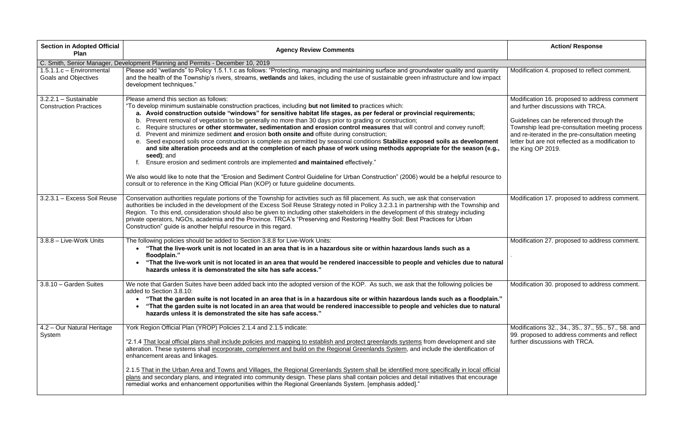| <b>Section in Adopted Official</b><br>Plan               | <b>Agency Review Comments</b>                                                                                                                                                                                                                                                                                                                                                                                                                                                                                                                                                                                                                                                                                                                                                                                                                                                                                                                                                                                                                                                                                                                                                                                               | <b>Action/ Response</b>                                                                                                                                                                                                                             |
|----------------------------------------------------------|-----------------------------------------------------------------------------------------------------------------------------------------------------------------------------------------------------------------------------------------------------------------------------------------------------------------------------------------------------------------------------------------------------------------------------------------------------------------------------------------------------------------------------------------------------------------------------------------------------------------------------------------------------------------------------------------------------------------------------------------------------------------------------------------------------------------------------------------------------------------------------------------------------------------------------------------------------------------------------------------------------------------------------------------------------------------------------------------------------------------------------------------------------------------------------------------------------------------------------|-----------------------------------------------------------------------------------------------------------------------------------------------------------------------------------------------------------------------------------------------------|
|                                                          | C. Smith, Senior Manager, Development Planning and Permits - December 10, 2019                                                                                                                                                                                                                                                                                                                                                                                                                                                                                                                                                                                                                                                                                                                                                                                                                                                                                                                                                                                                                                                                                                                                              |                                                                                                                                                                                                                                                     |
| 1.5.1.1.c - Environmental<br><b>Goals and Objectives</b> | Please add "wetlands" to Policy 1.5.1.1.c as follows: "Protecting, managing and maintaining surface and groundwater quality and quantity<br>and the health of the Township's rivers, streams, wetlands and lakes, including the use of sustainable green infrastructure and low impact<br>development techniques."                                                                                                                                                                                                                                                                                                                                                                                                                                                                                                                                                                                                                                                                                                                                                                                                                                                                                                          | Modification 4. proposed to reflect                                                                                                                                                                                                                 |
| $3.2.2.1 -$ Sustainable<br><b>Construction Practices</b> | Please amend this section as follows:<br>"To develop minimum sustainable construction practices, including but not limited to practices which:<br>a. Avoid construction outside "windows" for sensitive habitat life stages, as per federal or provincial requirements;<br>Prevent removal of vegetation to be generally no more than 30 days prior to grading or construction;<br>b.<br>Require structures or other stormwater, sedimentation and erosion control measures that will control and convey runoff;<br>c.<br>d. Prevent and minimize sediment and erosion both onsite and offsite during construction;<br>e. Seed exposed soils once construction is complete as permitted by seasonal conditions Stabilize exposed soils as development<br>and site alteration proceeds and at the completion of each phase of work using methods appropriate for the season (e.g.,<br>seed); and<br>Ensure erosion and sediment controls are implemented and maintained effectively."<br>We also would like to note that the "Erosion and Sediment Control Guideline for Urban Construction" (2006) would be a helpful resource to<br>consult or to reference in the King Official Plan (KOP) or future guideline documents. | Modification 16. proposed to addr<br>and further discussions with TRC/<br>Guidelines can be referenced thro<br>Township lead pre-consultation m<br>and re-iterated in the pre-consulta<br>letter but are not reflected as a mo<br>the King OP 2019. |
| 3.2.3.1 - Excess Soil Reuse                              | Conservation authorities regulate portions of the Township for activities such as fill placement. As such, we ask that conservation<br>authorities be included in the development of the Excess Soil Reuse Strategy noted in Policy 3.2.3.1 in partnership with the Township and<br>Region. To this end, consideration should also be given to including other stakeholders in the development of this strategy including<br>private operators, NGOs, academia and the Province. TRCA's "Preserving and Restoring Healthy Soil: Best Practices for Urban<br>Construction" guide is another helpful resource in this regard.                                                                                                                                                                                                                                                                                                                                                                                                                                                                                                                                                                                                 | Modification 17. proposed to addre                                                                                                                                                                                                                  |
| 3.8.8 - Live-Work Units                                  | The following policies should be added to Section 3.8.8 for Live-Work Units:<br>"That the live-work unit is not located in an area that is in a hazardous site or within hazardous lands such as a<br>floodplain."<br>"That the live-work unit is not located in an area that would be rendered inaccessible to people and vehicles due to natural<br>hazards unless it is demonstrated the site has safe access."                                                                                                                                                                                                                                                                                                                                                                                                                                                                                                                                                                                                                                                                                                                                                                                                          | Modification 27. proposed to addre                                                                                                                                                                                                                  |
| 3.8.10 - Garden Suites                                   | We note that Garden Suites have been added back into the adopted version of the KOP. As such, we ask that the following policies be<br>added to Section 3.8.10:<br>"That the garden suite is not located in an area that is in a hazardous site or within hazardous lands such as a floodplain."<br>"That the garden suite is not located in an area that would be rendered inaccessible to people and vehicles due to natural<br>hazards unless it is demonstrated the site has safe access."                                                                                                                                                                                                                                                                                                                                                                                                                                                                                                                                                                                                                                                                                                                              | Modification 30. proposed to addre                                                                                                                                                                                                                  |
| 4.2 - Our Natural Heritage<br>System                     | York Region Official Plan (YROP) Policies 2.1.4 and 2.1.5 indicate:<br>"2.1.4 That local official plans shall include policies and mapping to establish and protect greenlands systems from development and site<br>alteration. These systems shall incorporate, complement and build on the Regional Greenlands System, and include the identification of<br>enhancement areas and linkages.<br>2.1.5 That in the Urban Area and Towns and Villages, the Regional Greenlands System shall be identified more specifically in local official<br>plans and secondary plans, and integrated into community design. These plans shall contain policies and detail initiatives that encourage<br>remedial works and enhancement opportunities within the Regional Greenlands System. [emphasis added]."                                                                                                                                                                                                                                                                                                                                                                                                                         | Modifications 32., 34., 35., 37., 55<br>99. proposed to address comment<br>further discussions with TRCA.                                                                                                                                           |

| <b>Action/ Response</b>                                                                                                                                                                                                 |
|-------------------------------------------------------------------------------------------------------------------------------------------------------------------------------------------------------------------------|
|                                                                                                                                                                                                                         |
| Modification 4. proposed to reflect comment.                                                                                                                                                                            |
| Modification 16. proposed to address comment<br>and further discussions with TRCA.                                                                                                                                      |
| Guidelines can be referenced through the<br>Township lead pre-consultation meeting process<br>and re-iterated in the pre-consultation meeting<br>letter but are not reflected as a modification to<br>the King OP 2019. |
| Modification 17. proposed to address comment.                                                                                                                                                                           |
| Modification 27. proposed to address comment.                                                                                                                                                                           |
| Modification 30. proposed to address comment.                                                                                                                                                                           |
| Modifications 32., 34., 35., 37., 55., 57., 58. and<br>99. proposed to address comments and reflect<br>further discussions with TRCA.                                                                                   |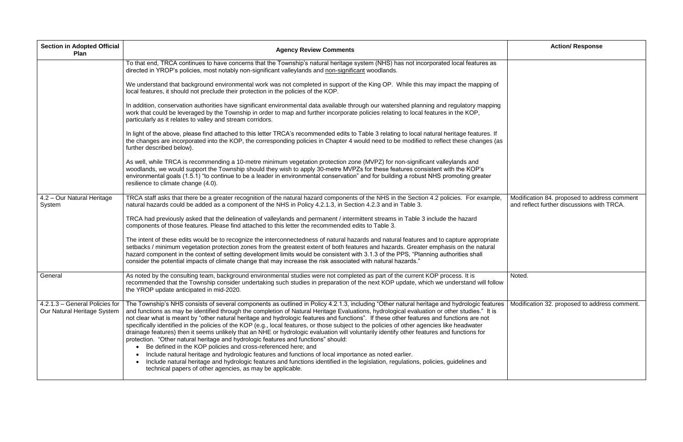| <b>Section in Adopted Official</b><br>Plan                    | <b>Agency Review Comments</b>                                                                                                                                                                                                                                                                                                                                                                                                                                                                                                                                                                                                                                                                                                                                                                                                                                                                                                                                                                                                                                                                                                                                                                        | <b>Action/ Response</b>                                                    |
|---------------------------------------------------------------|------------------------------------------------------------------------------------------------------------------------------------------------------------------------------------------------------------------------------------------------------------------------------------------------------------------------------------------------------------------------------------------------------------------------------------------------------------------------------------------------------------------------------------------------------------------------------------------------------------------------------------------------------------------------------------------------------------------------------------------------------------------------------------------------------------------------------------------------------------------------------------------------------------------------------------------------------------------------------------------------------------------------------------------------------------------------------------------------------------------------------------------------------------------------------------------------------|----------------------------------------------------------------------------|
|                                                               | To that end, TRCA continues to have concerns that the Township's natural heritage system (NHS) has not incorporated local features as<br>directed in YROP's policies, most notably non-significant valleylands and non-significant woodlands.                                                                                                                                                                                                                                                                                                                                                                                                                                                                                                                                                                                                                                                                                                                                                                                                                                                                                                                                                        |                                                                            |
|                                                               | We understand that background environmental work was not completed in support of the King OP. While this may impact the mapping of<br>local features, it should not preclude their protection in the policies of the KOP.                                                                                                                                                                                                                                                                                                                                                                                                                                                                                                                                                                                                                                                                                                                                                                                                                                                                                                                                                                            |                                                                            |
|                                                               | In addition, conservation authorities have significant environmental data available through our watershed planning and regulatory mapping<br>work that could be leveraged by the Township in order to map and further incorporate policies relating to local features in the KOP,<br>particularly as it relates to valley and stream corridors.                                                                                                                                                                                                                                                                                                                                                                                                                                                                                                                                                                                                                                                                                                                                                                                                                                                      |                                                                            |
|                                                               | In light of the above, please find attached to this letter TRCA's recommended edits to Table 3 relating to local natural heritage features. If<br>the changes are incorporated into the KOP, the corresponding policies in Chapter 4 would need to be modified to reflect these changes (as<br>further described below).                                                                                                                                                                                                                                                                                                                                                                                                                                                                                                                                                                                                                                                                                                                                                                                                                                                                             |                                                                            |
|                                                               | As well, while TRCA is recommending a 10-metre minimum vegetation protection zone (MVPZ) for non-significant valleylands and<br>woodlands, we would support the Township should they wish to apply 30-metre MVPZs for these features consistent with the KOP's<br>environmental goals (1.5.1) "to continue to be a leader in environmental conservation" and for building a robust NHS promoting greater<br>resilience to climate change (4.0).                                                                                                                                                                                                                                                                                                                                                                                                                                                                                                                                                                                                                                                                                                                                                      |                                                                            |
| 4.2 - Our Natural Heritage<br>System                          | TRCA staff asks that there be a greater recognition of the natural hazard components of the NHS in the Section 4.2 policies. For example,<br>natural hazards could be added as a component of the NHS in Policy 4.2.1.3, in Section 4.2.3 and in Table 3.                                                                                                                                                                                                                                                                                                                                                                                                                                                                                                                                                                                                                                                                                                                                                                                                                                                                                                                                            | Modification 84. proposed to addre<br>and reflect further discussions with |
|                                                               | TRCA had previously asked that the delineation of valleylands and permanent / intermittent streams in Table 3 include the hazard<br>components of those features. Please find attached to this letter the recommended edits to Table 3.                                                                                                                                                                                                                                                                                                                                                                                                                                                                                                                                                                                                                                                                                                                                                                                                                                                                                                                                                              |                                                                            |
|                                                               | The intent of these edits would be to recognize the interconnectedness of natural hazards and natural features and to capture appropriate<br>setbacks / minimum vegetation protection zones from the greatest extent of both features and hazards. Greater emphasis on the natural<br>hazard component in the context of setting development limits would be consistent with 3.1.3 of the PPS, "Planning authorities shall<br>consider the potential impacts of climate change that may increase the risk associated with natural hazards."                                                                                                                                                                                                                                                                                                                                                                                                                                                                                                                                                                                                                                                          |                                                                            |
| General                                                       | As noted by the consulting team, background environmental studies were not completed as part of the current KOP process. It is<br>recommended that the Township consider undertaking such studies in preparation of the next KOP update, which we understand will follow<br>the YROP update anticipated in mid-2020.                                                                                                                                                                                                                                                                                                                                                                                                                                                                                                                                                                                                                                                                                                                                                                                                                                                                                 | Noted.                                                                     |
| 4.2.1.3 - General Policies for<br>Our Natural Heritage System | The Township's NHS consists of several components as outlined in Policy 4.2.1.3, including "Other natural heritage and hydrologic features<br>and functions as may be identified through the completion of Natural Heritage Evaluations, hydrological evaluation or other studies." It is<br>not clear what is meant by "other natural heritage and hydrologic features and functions". If these other features and functions are not<br>specifically identified in the policies of the KOP (e.g., local features, or those subject to the policies of other agencies like headwater<br>drainage features) then it seems unlikely that an NHE or hydrologic evaluation will voluntarily identify other features and functions for<br>protection. "Other natural heritage and hydrologic features and functions" should:<br>Be defined in the KOP policies and cross-referenced here; and<br>Include natural heritage and hydrologic features and functions of local importance as noted earlier.<br>Include natural heritage and hydrologic features and functions identified in the legislation, regulations, policies, guidelines and<br>technical papers of other agencies, as may be applicable. | Modification 32. proposed to addre                                         |

|   | <b>Action/ Response</b>                                                                    |
|---|--------------------------------------------------------------------------------------------|
|   |                                                                                            |
|   | Modification 84. proposed to address comment<br>and reflect further discussions with TRCA. |
| ı | Noted.                                                                                     |
| 5 | Modification 32. proposed to address comment.                                              |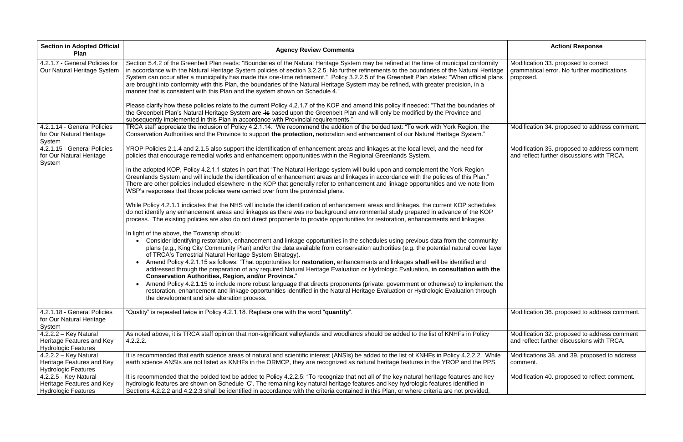| <b>Section in Adopted Official</b><br>Plan                                         | <b>Agency Review Comments</b>                                                                                                                                                                                                                                                                                                                                                                                                                                                                                                                                                                                                                                                                                                                                                                                                                                                                                                                                                                                                                                                                                                                                                                                                                                                                                                                                                                                                                                                                                                                                                                                                                                                                                                                                                                                                                                                                                                                                                                                                                                                                                                                                                                                                                  | <b>Action/ Response</b>                                                                          |
|------------------------------------------------------------------------------------|------------------------------------------------------------------------------------------------------------------------------------------------------------------------------------------------------------------------------------------------------------------------------------------------------------------------------------------------------------------------------------------------------------------------------------------------------------------------------------------------------------------------------------------------------------------------------------------------------------------------------------------------------------------------------------------------------------------------------------------------------------------------------------------------------------------------------------------------------------------------------------------------------------------------------------------------------------------------------------------------------------------------------------------------------------------------------------------------------------------------------------------------------------------------------------------------------------------------------------------------------------------------------------------------------------------------------------------------------------------------------------------------------------------------------------------------------------------------------------------------------------------------------------------------------------------------------------------------------------------------------------------------------------------------------------------------------------------------------------------------------------------------------------------------------------------------------------------------------------------------------------------------------------------------------------------------------------------------------------------------------------------------------------------------------------------------------------------------------------------------------------------------------------------------------------------------------------------------------------------------|--------------------------------------------------------------------------------------------------|
| $\sqrt{4.2.1.7}$ - General Policies for<br>Our Natural Heritage System             | Section 5.4.2 of the Greenbelt Plan reads: "Boundaries of the Natural Heritage System may be refined at the time of municipal conformity<br>in accordance with the Natural Heritage System policies of section 3.2.2.5. No further refinements to the boundaries of the Natural Heritage<br>System can occur after a municipality has made this one-time refinement." Policy 3.2.2.5 of the Greenbelt Plan states: "When official plans<br>are brought into conformity with this Plan, the boundaries of the Natural Heritage System may be refined, with greater precision, in a<br>manner that is consistent with this Plan and the system shown on Schedule 4."                                                                                                                                                                                                                                                                                                                                                                                                                                                                                                                                                                                                                                                                                                                                                                                                                                                                                                                                                                                                                                                                                                                                                                                                                                                                                                                                                                                                                                                                                                                                                                             | Modification 33. proposed to correct<br>grammatical error. No further modifications<br>proposed. |
|                                                                                    | Please clarify how these policies relate to the current Policy 4.2.1.7 of the KOP and amend this policy if needed: "That the boundaries of<br>the Greenbelt Plan's Natural Heritage System are is based upon the Greenbelt Plan and will only be modified by the Province and<br>subsequently implemented in this Plan in accordance with Provincial requirements."                                                                                                                                                                                                                                                                                                                                                                                                                                                                                                                                                                                                                                                                                                                                                                                                                                                                                                                                                                                                                                                                                                                                                                                                                                                                                                                                                                                                                                                                                                                                                                                                                                                                                                                                                                                                                                                                            |                                                                                                  |
| 4.2.1.14 - General Policies<br>for Our Natural Heritage<br>System                  | TRCA staff appreciate the inclusion of Policy 4.2.1.14. We recommend the addition of the bolded text: "To work with York Region, the<br>Conservation Authorities and the Province to support the protection, restoration and enhancement of our Natural Heritage System."                                                                                                                                                                                                                                                                                                                                                                                                                                                                                                                                                                                                                                                                                                                                                                                                                                                                                                                                                                                                                                                                                                                                                                                                                                                                                                                                                                                                                                                                                                                                                                                                                                                                                                                                                                                                                                                                                                                                                                      | Modification 34. proposed to address comment.                                                    |
| 4.2.1.15 - General Policies<br>for Our Natural Heritage<br>System                  | YROP Policies 2.1.4 and 2.1.5 also support the identification of enhancement areas and linkages at the local level, and the need for<br>policies that encourage remedial works and enhancement opportunities within the Regional Greenlands System.<br>In the adopted KOP, Policy 4.2.1.1 states in part that "The Natural Heritage system will build upon and complement the York Region<br>Greenlands System and will include the identification of enhancement areas and linkages in accordance with the policies of this Plan."<br>There are other policies included elsewhere in the KOP that generally refer to enhancement and linkage opportunities and we note from<br>WSP's responses that those policies were carried over from the provincial plans.<br>While Policy 4.2.1.1 indicates that the NHS will include the identification of enhancement areas and linkages, the current KOP schedules<br>do not identify any enhancement areas and linkages as there was no background environmental study prepared in advance of the KOP<br>process. The existing policies are also do not direct proponents to provide opportunities for restoration, enhancements and linkages.<br>In light of the above, the Township should:<br>Consider identifying restoration, enhancement and linkage opportunities in the schedules using previous data from the community<br>plans (e.g., King City Community Plan) and/or the data available from conservation authorities (e.g. the potential natural cover layer<br>of TRCA's Terrestrial Natural Heritage System Strategy).<br>Amend Policy 4.2.1.15 as follows: "That opportunities for restoration, enhancements and linkages shall-will-be identified and<br>addressed through the preparation of any required Natural Heritage Evaluation or Hydrologic Evaluation, in consultation with the<br><b>Conservation Authorities, Region, and/or Province."</b><br>Amend Policy 4.2.1.15 to include more robust language that directs proponents (private, government or otherwise) to implement the<br>restoration, enhancement and linkage opportunities identified in the Natural Heritage Evaluation or Hydrologic Evaluation through<br>the development and site alteration process. | Modification 35. proposed to address comment<br>and reflect further discussions with TRCA.       |
| 4.2.1.18 - General Policies<br>for Our Natural Heritage<br>System                  | "Quality" is repeated twice in Policy 4.2.1.18. Replace one with the word "quantity".                                                                                                                                                                                                                                                                                                                                                                                                                                                                                                                                                                                                                                                                                                                                                                                                                                                                                                                                                                                                                                                                                                                                                                                                                                                                                                                                                                                                                                                                                                                                                                                                                                                                                                                                                                                                                                                                                                                                                                                                                                                                                                                                                          | Modification 36. proposed to address comment.                                                    |
| $4.2.2.2 - Key Natural$<br>Heritage Features and Key<br><b>Hydrologic Features</b> | As noted above, it is TRCA staff opinion that non-significant valleylands and woodlands should be added to the list of KNHFs in Policy<br>4.2.2.2.                                                                                                                                                                                                                                                                                                                                                                                                                                                                                                                                                                                                                                                                                                                                                                                                                                                                                                                                                                                                                                                                                                                                                                                                                                                                                                                                                                                                                                                                                                                                                                                                                                                                                                                                                                                                                                                                                                                                                                                                                                                                                             | Modification 32. proposed to address comment<br>and reflect further discussions with TRCA.       |
| $4.2.2.2 - Key Natural$<br>Heritage Features and Key<br><b>Hydrologic Features</b> | It is recommended that earth science areas of natural and scientific interest (ANSIs) be added to the list of KNHFs in Policy 4.2.2.2. While<br>earth science ANSIs are not listed as KNHFs in the ORMCP, they are recognized as natural heritage features in the YROP and the PPS.                                                                                                                                                                                                                                                                                                                                                                                                                                                                                                                                                                                                                                                                                                                                                                                                                                                                                                                                                                                                                                                                                                                                                                                                                                                                                                                                                                                                                                                                                                                                                                                                                                                                                                                                                                                                                                                                                                                                                            | Modifications 38. and 39. proposed to address<br>comment.                                        |
| 4.2.2.5 - Key Natural<br>Heritage Features and Key<br><b>Hydrologic Features</b>   | It is recommended that the bolded text be added to Policy 4.2.2.5: "To recognize that not all of the key natural heritage features and key<br>hydrologic features are shown on Schedule 'C'. The remaining key natural heritage features and key hydrologic features identified in<br>Sections 4.2.2.2 and 4.2.2.3 shall be identified in accordance with the criteria contained in this Plan, or where criteria are not provided,                                                                                                                                                                                                                                                                                                                                                                                                                                                                                                                                                                                                                                                                                                                                                                                                                                                                                                                                                                                                                                                                                                                                                                                                                                                                                                                                                                                                                                                                                                                                                                                                                                                                                                                                                                                                             | Modification 40. proposed to reflect comment.                                                    |

|   | <b>Action/ Response</b>                                                                          |
|---|--------------------------------------------------------------------------------------------------|
| € | Modification 33. proposed to correct<br>grammatical error. No further modifications<br>proposed. |
|   | Modification 34. proposed to address comment.                                                    |
|   | Modification 35. proposed to address comment<br>and reflect further discussions with TRCA.       |
|   |                                                                                                  |
|   | Modification 36. proposed to address comment.                                                    |
|   | Modification 32. proposed to address comment<br>and reflect further discussions with TRCA.       |
|   | Modifications 38. and 39. proposed to address<br>comment.                                        |
|   | Modification 40. proposed to reflect comment.                                                    |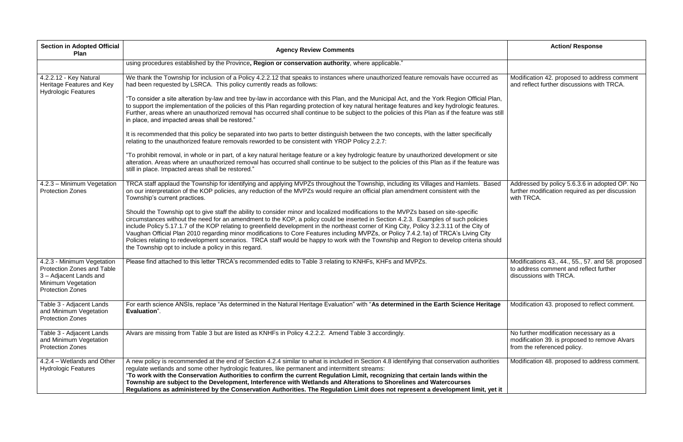| <b>Section in Adopted Official</b><br>Plan                                                                                                        | <b>Agency Review Comments</b>                                                                                                                                                                                                                                                                                                                                                                                                                                                                                                                                                                                                                                                                                                                                      | <b>Action/ Response</b>                                                                                                |
|---------------------------------------------------------------------------------------------------------------------------------------------------|--------------------------------------------------------------------------------------------------------------------------------------------------------------------------------------------------------------------------------------------------------------------------------------------------------------------------------------------------------------------------------------------------------------------------------------------------------------------------------------------------------------------------------------------------------------------------------------------------------------------------------------------------------------------------------------------------------------------------------------------------------------------|------------------------------------------------------------------------------------------------------------------------|
|                                                                                                                                                   | using procedures established by the Province, Region or conservation authority, where applicable."                                                                                                                                                                                                                                                                                                                                                                                                                                                                                                                                                                                                                                                                 |                                                                                                                        |
| 4.2.2.12 - Key Natural<br>Heritage Features and Key<br><b>Hydrologic Features</b>                                                                 | We thank the Township for inclusion of a Policy 4.2.2.12 that speaks to instances where unauthorized feature removals have occurred as<br>had been requested by LSRCA. This policy currently reads as follows:                                                                                                                                                                                                                                                                                                                                                                                                                                                                                                                                                     | Modification 42. proposed to address comment<br>and reflect further discussions with TRCA.                             |
|                                                                                                                                                   | "To consider a site alteration by-law and tree by-law in accordance with this Plan, and the Municipal Act, and the York Region Official Plan,<br>to support the implementation of the policies of this Plan regarding protection of key natural heritage features and key hydrologic features.<br>Further, areas where an unauthorized removal has occurred shall continue to be subject to the policies of this Plan as if the feature was still<br>in place, and impacted areas shall be restored."                                                                                                                                                                                                                                                              |                                                                                                                        |
|                                                                                                                                                   | It is recommended that this policy be separated into two parts to better distinguish between the two concepts, with the latter specifically<br>relating to the unauthorized feature removals reworded to be consistent with YROP Policy 2.2.7:                                                                                                                                                                                                                                                                                                                                                                                                                                                                                                                     |                                                                                                                        |
|                                                                                                                                                   | "To prohibit removal, in whole or in part, of a key natural heritage feature or a key hydrologic feature by unauthorized development or site<br>alteration. Areas where an unauthorized removal has occurred shall continue to be subject to the policies of this Plan as if the feature was<br>still in place. Impacted areas shall be restored."                                                                                                                                                                                                                                                                                                                                                                                                                 |                                                                                                                        |
| 4.2.3 - Minimum Vegetation<br><b>Protection Zones</b>                                                                                             | TRCA staff applaud the Township for identifying and applying MVPZs throughout the Township, including its Villages and Hamlets. Based<br>on our interpretation of the KOP policies, any reduction of the MVPZs would require an official plan amendment consistent with the<br>Township's current practices.                                                                                                                                                                                                                                                                                                                                                                                                                                                       | Addressed by policy 5.6.3.6 in adopted OP. No<br>further modification required as per discussion<br>with TRCA.         |
|                                                                                                                                                   | Should the Township opt to give staff the ability to consider minor and localized modifications to the MVPZs based on site-specific<br>circumstances without the need for an amendment to the KOP, a policy could be inserted in Section 4.2.3. Examples of such policies<br>include Policy 5.17.1.7 of the KOP relating to greenfield development in the northeast corner of King City, Policy 3.2.3.11 of the City of<br>Vaughan Official Plan 2010 regarding minor modifications to Core Features including MVPZs, or Policy 7.4.2.1a) of TRCA's Living City<br>Policies relating to redevelopment scenarios. TRCA staff would be happy to work with the Township and Region to develop criteria should<br>the Township opt to include a policy in this regard. |                                                                                                                        |
| 4.2.3 - Minimum Vegetation<br><b>Protection Zones and Table</b><br>3 - Adjacent Lands and<br><b>Minimum Vegetation</b><br><b>Protection Zones</b> | Please find attached to this letter TRCA's recommended edits to Table 3 relating to KNHFs, KHFs and MVPZs.                                                                                                                                                                                                                                                                                                                                                                                                                                                                                                                                                                                                                                                         | Modifications 43., 44., 55., 57. and 58. proposed<br>to address comment and reflect further<br>discussions with TRCA.  |
| Table 3 - Adjacent Lands<br>and Minimum Vegetation<br><b>Protection Zones</b>                                                                     | For earth science ANSIs, replace "As determined in the Natural Heritage Evaluation" with "As determined in the Earth Science Heritage<br>Evaluation".                                                                                                                                                                                                                                                                                                                                                                                                                                                                                                                                                                                                              | Modification 43. proposed to reflect comment.                                                                          |
| Table 3 - Adjacent Lands<br>and Minimum Vegetation<br><b>Protection Zones</b>                                                                     | Alvars are missing from Table 3 but are listed as KNHFs in Policy 4.2.2.2. Amend Table 3 accordingly.                                                                                                                                                                                                                                                                                                                                                                                                                                                                                                                                                                                                                                                              | No further modification necessary as a<br>modification 39. is proposed to remove Alvars<br>from the referenced policy. |
| 4.2.4 – Wetlands and Other<br><b>Hydrologic Features</b>                                                                                          | A new policy is recommended at the end of Section 4.2.4 similar to what is included in Section 4.8 identifying that conservation authorities<br>regulate wetlands and some other hydrologic features, like permanent and intermittent streams:<br>"To work with the Conservation Authorities to confirm the current Regulation Limit, recognizing that certain lands within the<br>Township are subject to the Development, Interference with Wetlands and Alterations to Shorelines and Watercourses<br>Regulations as administered by the Conservation Authorities. The Regulation Limit does not represent a development limit, yet it                                                                                                                          | Modification 48. proposed to address comment.                                                                          |

| <b>Action/ Response</b>                                                                                                |
|------------------------------------------------------------------------------------------------------------------------|
|                                                                                                                        |
| Modification 42. proposed to address comment<br>and reflect further discussions with TRCA.                             |
|                                                                                                                        |
| Addressed by policy 5.6.3.6 in adopted OP. No<br>further modification required as per discussion<br>with TRCA.         |
| Modifications 43., 44., 55., 57. and 58. proposed<br>to address comment and reflect further<br>discussions with TRCA.  |
| Modification 43. proposed to reflect comment.                                                                          |
| No further modification necessary as a<br>modification 39. is proposed to remove Alvars<br>from the referenced policy. |
| Modification 48. proposed to address comment.                                                                          |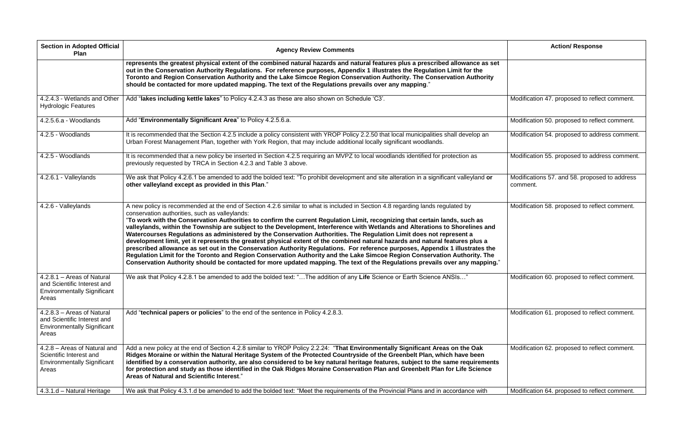| <b>Section in Adopted Official</b><br><b>Plan</b>                                                        | <b>Agency Review Comments</b>                                                                                                                                                                                                                                                                                                                                                                                                                                                                                                                                                                                                                                                                                                                                                                                                                                                                                                                                                                                                                                                                           | <b>Action/ Response</b>                                   |
|----------------------------------------------------------------------------------------------------------|---------------------------------------------------------------------------------------------------------------------------------------------------------------------------------------------------------------------------------------------------------------------------------------------------------------------------------------------------------------------------------------------------------------------------------------------------------------------------------------------------------------------------------------------------------------------------------------------------------------------------------------------------------------------------------------------------------------------------------------------------------------------------------------------------------------------------------------------------------------------------------------------------------------------------------------------------------------------------------------------------------------------------------------------------------------------------------------------------------|-----------------------------------------------------------|
|                                                                                                          | represents the greatest physical extent of the combined natural hazards and natural features plus a prescribed allowance as set<br>out in the Conservation Authority Regulations. For reference purposes, Appendix 1 illustrates the Regulation Limit for the<br>Toronto and Region Conservation Authority and the Lake Simcoe Region Conservation Authority. The Conservation Authority<br>should be contacted for more updated mapping. The text of the Regulations prevails over any mapping."                                                                                                                                                                                                                                                                                                                                                                                                                                                                                                                                                                                                       |                                                           |
| 4.2.4.3 - Wetlands and Other<br><b>Hydrologic Features</b>                                               | Add "lakes including kettle lakes" to Policy 4.2.4.3 as these are also shown on Schedule 'C3'.                                                                                                                                                                                                                                                                                                                                                                                                                                                                                                                                                                                                                                                                                                                                                                                                                                                                                                                                                                                                          | Modification 47. proposed to reflect comment.             |
| 4.2.5.6.a - Woodlands                                                                                    | Add "Environmentally Significant Area" to Policy 4.2.5.6.a.                                                                                                                                                                                                                                                                                                                                                                                                                                                                                                                                                                                                                                                                                                                                                                                                                                                                                                                                                                                                                                             | Modification 50. proposed to reflect comment.             |
| 4.2.5 - Woodlands                                                                                        | It is recommended that the Section 4.2.5 include a policy consistent with YROP Policy 2.2.50 that local municipalities shall develop an<br>Urban Forest Management Plan, together with York Region, that may include additional locally significant woodlands.                                                                                                                                                                                                                                                                                                                                                                                                                                                                                                                                                                                                                                                                                                                                                                                                                                          | Modification 54. proposed to address comment.             |
| 4.2.5 - Woodlands                                                                                        | It is recommended that a new policy be inserted in Section 4.2.5 requiring an MVPZ to local woodlands identified for protection as<br>previously requested by TRCA in Section 4.2.3 and Table 3 above.                                                                                                                                                                                                                                                                                                                                                                                                                                                                                                                                                                                                                                                                                                                                                                                                                                                                                                  | Modification 55. proposed to address comment.             |
| 4.2.6.1 - Valleylands                                                                                    | We ask that Policy 4.2.6.1 be amended to add the bolded text: "To prohibit development and site alteration in a significant valleyland or<br>other valleyland except as provided in this Plan."                                                                                                                                                                                                                                                                                                                                                                                                                                                                                                                                                                                                                                                                                                                                                                                                                                                                                                         | Modifications 57. and 58. proposed to address<br>comment. |
| 4.2.6 - Valleylands                                                                                      | A new policy is recommended at the end of Section 4.2.6 similar to what is included in Section 4.8 regarding lands regulated by<br>conservation authorities, such as valleylands:<br>"To work with the Conservation Authorities to confirm the current Regulation Limit, recognizing that certain lands, such as<br>valleylands, within the Township are subject to the Development, Interference with Wetlands and Alterations to Shorelines and<br>Watercourses Regulations as administered by the Conservation Authorities. The Regulation Limit does not represent a<br>development limit, yet it represents the greatest physical extent of the combined natural hazards and natural features plus a<br>prescribed allowance as set out in the Conservation Authority Regulations. For reference purposes, Appendix 1 illustrates the<br>Regulation Limit for the Toronto and Region Conservation Authority and the Lake Simcoe Region Conservation Authority. The<br>Conservation Authority should be contacted for more updated mapping. The text of the Regulations prevails over any mapping." | Modification 58. proposed to reflect comment.             |
| 4.2.8.1 - Areas of Natural<br>and Scientific Interest and<br><b>Environmentally Significant</b><br>Areas | We ask that Policy 4.2.8.1 be amended to add the bolded text: "The addition of any Life Science or Earth Science ANSIs"                                                                                                                                                                                                                                                                                                                                                                                                                                                                                                                                                                                                                                                                                                                                                                                                                                                                                                                                                                                 | Modification 60. proposed to reflect comment.             |
| 4.2.8.3 - Areas of Natural<br>and Scientific Interest and<br><b>Environmentally Significant</b><br>Areas | Add "technical papers or policies" to the end of the sentence in Policy 4.2.8.3.                                                                                                                                                                                                                                                                                                                                                                                                                                                                                                                                                                                                                                                                                                                                                                                                                                                                                                                                                                                                                        | Modification 61. proposed to reflect comment.             |
| 4.2.8 - Areas of Natural and<br>Scientific Interest and<br><b>Environmentally Significant</b><br>Areas   | Add a new policy at the end of Section 4.2.8 similar to YROP Policy 2.2.24: "That Environmentally Significant Areas on the Oak<br>Ridges Moraine or within the Natural Heritage System of the Protected Countryside of the Greenbelt Plan, which have been<br>identified by a conservation authority, are also considered to be key natural heritage features, subject to the same requirements<br>for protection and study as those identified in the Oak Ridges Moraine Conservation Plan and Greenbelt Plan for Life Science<br>Areas of Natural and Scientific Interest."                                                                                                                                                                                                                                                                                                                                                                                                                                                                                                                           | Modification 62. proposed to reflect comment.             |
| 4.3.1.d - Natural Heritage                                                                               | We ask that Policy 4.3.1.d be amended to add the bolded text: "Meet the requirements of the Provincial Plans and in accordance with                                                                                                                                                                                                                                                                                                                                                                                                                                                                                                                                                                                                                                                                                                                                                                                                                                                                                                                                                                     | Modification 64. proposed to reflect comment.             |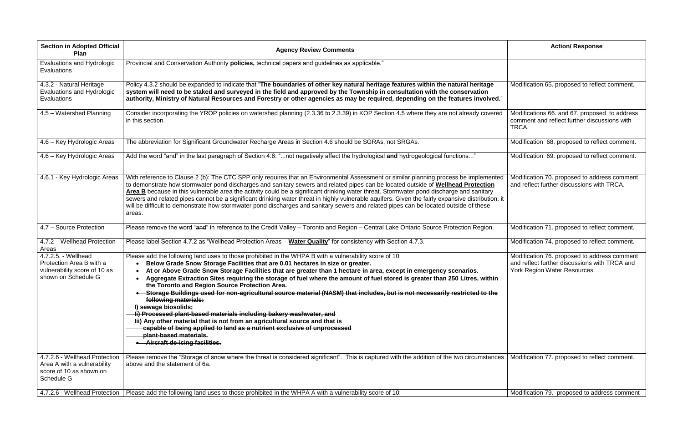| <b>Section in Adopted Official</b><br>Plan                                                             | <b>Agency Review Comments</b>                                                                                                                                                                                                                                                                                                                                                                                                                                                                                                                                                                                                                                                                                                                                                                                                                                                                                                                                                           | <b>Action/ Response</b>                                                                                                       |
|--------------------------------------------------------------------------------------------------------|-----------------------------------------------------------------------------------------------------------------------------------------------------------------------------------------------------------------------------------------------------------------------------------------------------------------------------------------------------------------------------------------------------------------------------------------------------------------------------------------------------------------------------------------------------------------------------------------------------------------------------------------------------------------------------------------------------------------------------------------------------------------------------------------------------------------------------------------------------------------------------------------------------------------------------------------------------------------------------------------|-------------------------------------------------------------------------------------------------------------------------------|
| <b>Evaluations and Hydrologic</b><br>Evaluations                                                       | Provincial and Conservation Authority policies, technical papers and guidelines as applicable."                                                                                                                                                                                                                                                                                                                                                                                                                                                                                                                                                                                                                                                                                                                                                                                                                                                                                         |                                                                                                                               |
| 4.3.2 - Natural Heritage<br><b>Evaluations and Hydrologic</b><br>Evaluations                           | Policy 4.3.2 should be expanded to indicate that "The boundaries of other key natural heritage features within the natural heritage<br>system will need to be staked and surveyed in the field and approved by the Township in consultation with the conservation<br>authority, Ministry of Natural Resources and Forestry or other agencies as may be required, depending on the features involved."                                                                                                                                                                                                                                                                                                                                                                                                                                                                                                                                                                                   | Modification 65. proposed to reflect comment.                                                                                 |
| 4.5 - Watershed Planning                                                                               | Consider incorporating the YROP policies on watershed planning (2.3.36 to 2.3.39) in KOP Section 4.5 where they are not already covered<br>in this section.                                                                                                                                                                                                                                                                                                                                                                                                                                                                                                                                                                                                                                                                                                                                                                                                                             | Modifications 66. and 67. proposed to address<br>comment and reflect further discussions with<br>TRCA.                        |
| 4.6 - Key Hydrologic Areas                                                                             | The abbreviation for Significant Groundwater Recharge Areas in Section 4.6 should be SGRAs, not SRGAs.                                                                                                                                                                                                                                                                                                                                                                                                                                                                                                                                                                                                                                                                                                                                                                                                                                                                                  | Modification 68. proposed to reflect comment.                                                                                 |
| 4.6 – Key Hydrologic Areas                                                                             | Add the word "and" in the last paragraph of Section 4.6: "not negatively affect the hydrological and hydrogeological functions"                                                                                                                                                                                                                                                                                                                                                                                                                                                                                                                                                                                                                                                                                                                                                                                                                                                         | Modification 69. proposed to reflect comment.                                                                                 |
| 4.6.1 - Key Hydrologic Areas                                                                           | With reference to Clause 2 (b): The CTC SPP only requires that an Environmental Assessment or similar planning process be implemented<br>to demonstrate how stormwater pond discharges and sanitary sewers and related pipes can be located outside of Wellhead Protection<br>Area B because in this vulnerable area the activity could be a significant drinking water threat. Stormwater pond discharge and sanitary<br>sewers and related pipes cannot be a significant drinking water threat in highly vulnerable aquifers. Given the fairly expansive distribution, it<br>will be difficult to demonstrate how stormwater pond discharges and sanitary sewers and related pipes can be located outside of these<br>areas.                                                                                                                                                                                                                                                          | Modification 70. proposed to address comment<br>and reflect further discussions with TRCA.                                    |
| 4.7 - Source Protection                                                                                | Please remove the word "and" in reference to the Credit Valley - Toronto and Region - Central Lake Ontario Source Protection Region.                                                                                                                                                                                                                                                                                                                                                                                                                                                                                                                                                                                                                                                                                                                                                                                                                                                    | Modification 71. proposed to reflect comment.                                                                                 |
| 4.7.2 - Wellhead Protection<br>Areas                                                                   | Please label Section 4.7.2 as "Wellhead Protection Areas - Water Quality" for consistency with Section 4.7.3.                                                                                                                                                                                                                                                                                                                                                                                                                                                                                                                                                                                                                                                                                                                                                                                                                                                                           | Modification 74. proposed to reflect comment.                                                                                 |
| 4.7.2.5. - Wellhead<br>Protection Area B with a<br>vulnerability score of 10 as<br>shown on Schedule G | Please add the following land uses to those prohibited in the WHPA B with a vulnerability score of 10:<br>Below Grade Snow Storage Facilities that are 0.01 hectares in size or greater.<br>At or Above Grade Snow Storage Facilities that are greater than 1 hectare in area, except in emergency scenarios.<br>Aggregate Extraction Sites requiring the storage of fuel where the amount of fuel stored is greater than 250 Litres, within<br>the Toronto and Region Source Protection Area.<br>. Storage Buildings used for non-agricultural source material (NASM) that includes, but is not necessarily restricted to the<br>following materials:<br>I) sewage biosolids;<br>li) Processed plant-based materials including bakery washwater, and<br><del>iii) Any other material that is not from an agricultural source and that is</del><br>capable of being applied to land as a nutrient exclusive of unprocessed<br>plant-based materials.<br>• Aircraft de-icing facilities. | Modification 76. proposed to address comment<br>and reflect further discussions with TRCA and<br>York Region Water Resources. |
| 4.7.2.6 - Wellhead Protection<br>Area A with a vulnerability<br>score of 10 as shown on<br>Schedule G  | Please remove the "Storage of snow where the threat is considered significant". This is captured with the addition of the two circumstances<br>above and the statement of 6a.                                                                                                                                                                                                                                                                                                                                                                                                                                                                                                                                                                                                                                                                                                                                                                                                           | Modification 77. proposed to reflect comment.                                                                                 |
|                                                                                                        | 4.7.2.6 - Wellhead Protection   Please add the following land uses to those prohibited in the WHPA A with a vulnerability score of 10:                                                                                                                                                                                                                                                                                                                                                                                                                                                                                                                                                                                                                                                                                                                                                                                                                                                  | Modification 79. proposed to address comment                                                                                  |

|    | <b>Action/ Response</b>                                                                                                       |
|----|-------------------------------------------------------------------------------------------------------------------------------|
|    |                                                                                                                               |
|    | Modification 65. proposed to reflect comment.                                                                                 |
| I  | Modifications 66. and 67. proposed to address<br>comment and reflect further discussions with<br>TRCA.                        |
|    | Modification 68. proposed to reflect comment.                                                                                 |
|    | Modification 69. proposed to reflect comment.                                                                                 |
| Ł  | Modification 70. proposed to address comment<br>and reflect further discussions with TRCA.                                    |
| it |                                                                                                                               |
|    | Modification 71. proposed to reflect comment.                                                                                 |
|    | Modification 74. proposed to reflect comment.                                                                                 |
|    | Modification 76. proposed to address comment<br>and reflect further discussions with TRCA and<br>York Region Water Resources. |
| s  | Modification 77. proposed to reflect comment.                                                                                 |
|    | Modification 79. proposed to address comment                                                                                  |
|    |                                                                                                                               |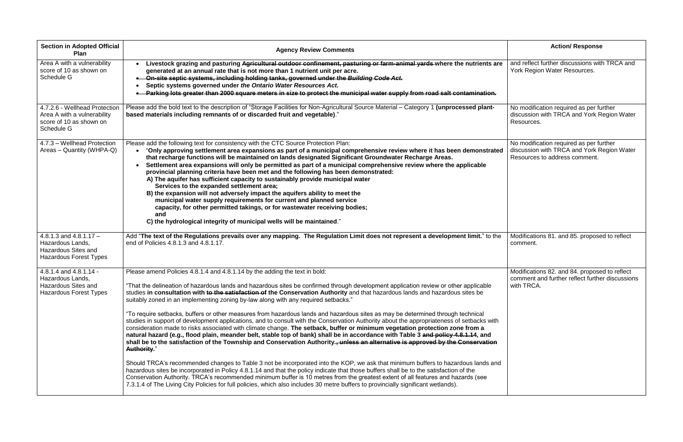| <b>Section in Adopted Official</b><br>Plan                                                                  | <b>Agency Review Comments</b>                                                                                                                                                                                                                                                                                                                                                                                                                                                                                                                                                                                                                                                                                                                                                                                                                                                                                                                                                                                                                                                                                                                                                                                                                                                                                                                                                                                                                                                                                                                                                                                                                                                                                      | <b>Action/ Response</b>                                                                                |
|-------------------------------------------------------------------------------------------------------------|--------------------------------------------------------------------------------------------------------------------------------------------------------------------------------------------------------------------------------------------------------------------------------------------------------------------------------------------------------------------------------------------------------------------------------------------------------------------------------------------------------------------------------------------------------------------------------------------------------------------------------------------------------------------------------------------------------------------------------------------------------------------------------------------------------------------------------------------------------------------------------------------------------------------------------------------------------------------------------------------------------------------------------------------------------------------------------------------------------------------------------------------------------------------------------------------------------------------------------------------------------------------------------------------------------------------------------------------------------------------------------------------------------------------------------------------------------------------------------------------------------------------------------------------------------------------------------------------------------------------------------------------------------------------------------------------------------------------|--------------------------------------------------------------------------------------------------------|
| Area A with a vulnerability<br>score of 10 as shown on<br>Schedule G                                        | Livestock grazing and pasturing Agricultural outdoor confinement, pasturing or farm-animal yards where the nutrients are<br>generated at an annual rate that is not more than 1 nutrient unit per acre.<br>On-site septic systems, including holding tanks, governed under the Building Code Act.<br>Septic systems governed under the Ontario Water Resources Act.<br>Parking lots greater than 2000 square meters in size to protect the municipal water supply from road salt contamination.                                                                                                                                                                                                                                                                                                                                                                                                                                                                                                                                                                                                                                                                                                                                                                                                                                                                                                                                                                                                                                                                                                                                                                                                                    | and reflect further discussions with<br>York Region Water Resources.                                   |
| 4.7.2.6 - Wellhead Protection<br>Area A with a vulnerability<br>score of 10 as shown on<br>Schedule G       | Please add the bold text to the description of "Storage Facilities for Non-Agricultural Source Material - Category 1 (unprocessed plant-<br>based materials including remnants of or discarded fruit and vegetable)."                                                                                                                                                                                                                                                                                                                                                                                                                                                                                                                                                                                                                                                                                                                                                                                                                                                                                                                                                                                                                                                                                                                                                                                                                                                                                                                                                                                                                                                                                              | No modification required as per fu<br>discussion with TRCA and York R<br>Resources.                    |
| 4.7.3 - Wellhead Protection<br>Areas – Quantity (WHPA-Q)                                                    | Please add the following text for consistency with the CTC Source Protection Plan:<br>"Only approving settlement area expansions as part of a municipal comprehensive review where it has been demonstrated<br>that recharge functions will be maintained on lands designated Significant Groundwater Recharge Areas.<br>Settlement area expansions will only be permitted as part of a municipal comprehensive review where the applicable<br>provincial planning criteria have been met and the following has been demonstrated:<br>A) The aquifer has sufficient capacity to sustainably provide municipal water<br>Services to the expanded settlement area;<br>B) the expansion will not adversely impact the aquifers ability to meet the<br>municipal water supply requirements for current and planned service<br>capacity, for other permitted takings, or for wastewater receiving bodies;<br>and<br>C) the hydrological integrity of municipal wells will be maintained."                                                                                                                                                                                                                                                                                                                                                                                                                                                                                                                                                                                                                                                                                                                               | No modification required as per fu<br>discussion with TRCA and York R<br>Resources to address comment. |
| 4.8.1.3 and $4.8.1.17 -$<br>Hazardous Lands,<br><b>Hazardous Sites and</b><br><b>Hazardous Forest Types</b> | Add "The text of the Regulations prevails over any mapping. The Regulation Limit does not represent a development limit." to the<br>end of Policies 4.8.1.3 and 4.8.1.17.                                                                                                                                                                                                                                                                                                                                                                                                                                                                                                                                                                                                                                                                                                                                                                                                                                                                                                                                                                                                                                                                                                                                                                                                                                                                                                                                                                                                                                                                                                                                          | Modifications 81. and 85. propose<br>comment.                                                          |
| 4.8.1.4 and 4.8.1.14 -<br>Hazardous Lands,<br><b>Hazardous Sites and</b><br><b>Hazardous Forest Types</b>   | Please amend Policies 4.8.1.4 and 4.8.1.14 by the adding the text in bold:<br>"That the delineation of hazardous lands and hazardous sites be confirmed through development application review or other applicable<br>studies in consultation with to the satisfaction of the Conservation Authority and that hazardous lands and hazardous sites be<br>suitably zoned in an implementing zoning by-law along with any required setbacks."<br>"To require setbacks, buffers or other measures from hazardous lands and hazardous sites as may be determined through technical<br>studies in support of development applications, and to consult with the Conservation Authority about the appropriateness of setbacks with<br>consideration made to risks associated with climate change. The setback, buffer or minimum vegetation protection zone from a<br>natural hazard (e.g., flood plain, meander belt, stable top of bank) shall be in accordance with Table 3 and policy 4.8.1.14, and<br>shall be to the satisfaction of the Township and Conservation Authority., unless an alternative is approved by the Conservation<br><b>Authority.</b> "<br>Should TRCA's recommended changes to Table 3 not be incorporated into the KOP, we ask that minimum buffers to hazardous lands and<br>hazardous sites be incorporated in Policy 4.8.1.14 and that the policy indicate that those buffers shall be to the satisfaction of the<br>Conservation Authority. TRCA's recommended minimum buffer is 10 metres from the greatest extent of all features and hazards (see<br>7.3.1.4 of The Living City Policies for full policies, which also includes 30 metre buffers to provincially significant wetlands). | Modifications 82. and 84. propose<br>comment and further reflect furthe<br>with TRCA.                  |

| <b>Action/ Response</b>                                                                                                |
|------------------------------------------------------------------------------------------------------------------------|
| and reflect further discussions with TRCA and<br>York Region Water Resources.                                          |
| No modification required as per further<br>discussion with TRCA and York Region Water<br>Resources.                    |
| No modification required as per further<br>discussion with TRCA and York Region Water<br>Resources to address comment. |
| Modifications 81. and 85. proposed to reflect<br>comment.                                                              |
| Modifications 82. and 84. proposed to reflect<br>comment and further reflect further discussions<br>with TRCA.         |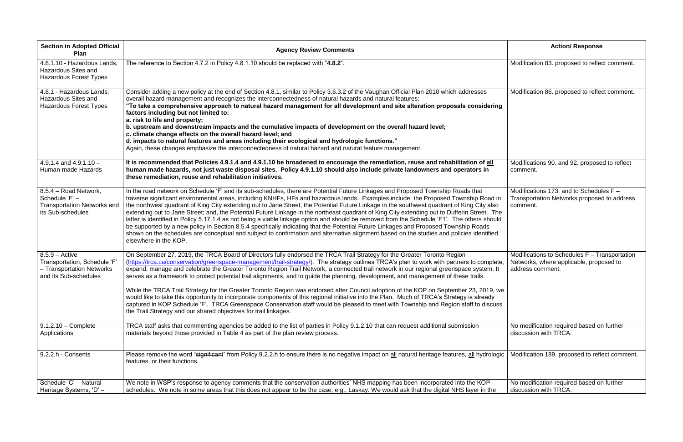| <b>Section in Adopted Official</b><br>Plan                                                            | <b>Agency Review Comments</b>                                                                                                                                                                                                                                                                                                                                                                                                                                                                                                                                                                                                                                                                                                                                                                                                                                                                                                                                                                                                                               | <b>Action/ Response</b>                                                                                      |
|-------------------------------------------------------------------------------------------------------|-------------------------------------------------------------------------------------------------------------------------------------------------------------------------------------------------------------------------------------------------------------------------------------------------------------------------------------------------------------------------------------------------------------------------------------------------------------------------------------------------------------------------------------------------------------------------------------------------------------------------------------------------------------------------------------------------------------------------------------------------------------------------------------------------------------------------------------------------------------------------------------------------------------------------------------------------------------------------------------------------------------------------------------------------------------|--------------------------------------------------------------------------------------------------------------|
| 4.8.1.10 - Hazardous Lands.<br><b>Hazardous Sites and</b><br><b>Hazardous Forest Types</b>            | The reference to Section 4.7.2 in Policy 4.8.1.10 should be replaced with "4.8.2".                                                                                                                                                                                                                                                                                                                                                                                                                                                                                                                                                                                                                                                                                                                                                                                                                                                                                                                                                                          | Modification 83. proposed to reflect comment.                                                                |
| 4.8.1 - Hazardous Lands,<br><b>Hazardous Sites and</b><br><b>Hazardous Forest Types</b>               | Consider adding a new policy at the end of Section 4.8.1, similar to Policy 3.6.3.2 of the Vaughan Official Plan 2010 which addresses<br>overall hazard management and recognizes the interconnectedness of natural hazards and natural features:<br>"To take a comprehensive approach to natural hazard management for all development and site alteration proposals considering<br>factors including but not limited to:<br>a. risk to life and property;<br>b. upstream and downstream impacts and the cumulative impacts of development on the overall hazard level;<br>c. climate change effects on the overall hazard level; and<br>d. impacts to natural features and areas including their ecological and hydrologic functions."<br>Again, these changes emphasize the interconnectedness of natural hazard and natural feature management.                                                                                                                                                                                                         | Modification 86. proposed to reflect comment.                                                                |
| $4.9.1.4$ and $4.9.1.10 -$<br>Human-made Hazards                                                      | It is recommended that Policies 4.9.1.4 and 4.9.1.10 be broadened to encourage the remediation, reuse and rehabilitation of all<br>human made hazards, not just waste disposal sites. Policy 4.9.1.10 should also include private landowners and operators in<br>these remediation, reuse and rehabilitation initiatives.                                                                                                                                                                                                                                                                                                                                                                                                                                                                                                                                                                                                                                                                                                                                   | Modifications 90. and 92. proposed to reflect<br>comment.                                                    |
| 8.5.4 - Road Network,<br>Schedule 'F' -<br><b>Transportation Networks and</b><br>its Sub-schedules    | In the road network on Schedule 'F' and its sub-schedules, there are Potential Future Linkages and Proposed Township Roads that<br>traverse significant environmental areas, including KNHFs, HFs and hazardous lands. Examples include: the Proposed Township Road in<br>the northwest quadrant of King City extending out to Jane Street; the Potential Future Linkage in the southwest quadrant of King City also<br>extending out to Jane Street; and, the Potential Future Linkage in the northeast quadrant of King City extending out to Dufferin Street. The<br>latter is identified in Policy 5.17.1.4 as not being a viable linkage option and should be removed from the Schedule 'F1'. The others should<br>be supported by a new policy in Section 8.5.4 specifically indicating that the Potential Future Linkages and Proposed Township Roads<br>shown on the schedules are conceptual and subject to confirmation and alternative alignment based on the studies and policies identified<br>elsewhere in the KOP.                           | Modifications 173. and to Schedules $F -$<br>Transportation Networks proposed to address<br>comment.         |
| $8.5.9 - Active$<br>Transportation, Schedule 'F<br>- Transportation Networks<br>and its Sub-schedules | On September 27, 2019, the TRCA Board of Directors fully endorsed the TRCA Trail Strategy for the Greater Toronto Region<br>(https://trca.ca/conservation/greenspace-management/trail-strategy/). The strategy outlines TRCA's plan to work with partners to complete,<br>expand, manage and celebrate the Greater Toronto Region Trail Network, a connected trail network in our regional greenspace system. It<br>serves as a framework to protect potential trail alignments, and to guide the planning, development, and management of these trails.<br>While the TRCA Trail Strategy for the Greater Toronto Region was endorsed after Council adoption of the KOP on September 23, 2019, we<br>would like to take this opportunity to incorporate components of this regional initiative into the Plan. Much of TRCA's Strategy is already<br>captured in KOP Schedule 'F'. TRCA Greenspace Conservation staff would be pleased to meet with Township and Region staff to discuss<br>the Trail Strategy and our shared objectives for trail linkages. | Modifications to Schedules F - Transportation<br>Networks, where applicable, proposed to<br>address comment. |
| $9.1.2.10 - Complete$<br>Applications                                                                 | TRCA staff asks that commenting agencies be added to the list of parties in Policy 9.1.2.10 that can request additional submission<br>materials beyond those provided in Table 4 as part of the plan review process.                                                                                                                                                                                                                                                                                                                                                                                                                                                                                                                                                                                                                                                                                                                                                                                                                                        | No modification required based on further<br>discussion with TRCA.                                           |
| 9.2.2.h - Consents                                                                                    | Please remove the word "significant" from Policy 9.2.2.h to ensure there is no negative impact on all natural heritage features, all hydrologic<br>features, or their functions.                                                                                                                                                                                                                                                                                                                                                                                                                                                                                                                                                                                                                                                                                                                                                                                                                                                                            | Modification 189. proposed to reflect comment                                                                |
| Schedule 'C' - Natural<br>Heritage Systems, 'D' -                                                     | We note in WSP's response to agency comments that the conservation authorities' NHS mapping has been incorporated into the KOP<br>schedules. We note in some areas that this does not appear to be the case, e.g., Laskay. We would ask that the digital NHS layer in the                                                                                                                                                                                                                                                                                                                                                                                                                                                                                                                                                                                                                                                                                                                                                                                   | No modification required based on further<br>discussion with TRCA.                                           |

|         | <b>Action/ Response</b>                                                                                      |
|---------|--------------------------------------------------------------------------------------------------------------|
|         | Modification 83. proposed to reflect comment.                                                                |
|         | Modification 86. proposed to reflect comment.                                                                |
|         | Modifications 90. and 92. proposed to reflect<br>comment.                                                    |
|         | Modifications 173. and to Schedules F -<br>Transportation Networks proposed to address<br>comment.           |
| ۱,<br>e | Modifications to Schedules F - Transportation<br>Networks, where applicable, proposed to<br>address comment. |
|         | No modification required based on further<br>discussion with TRCA.                                           |
| С       | Modification 189. proposed to reflect comment.                                                               |
|         | No modification required based on further<br>discussion with TRCA.                                           |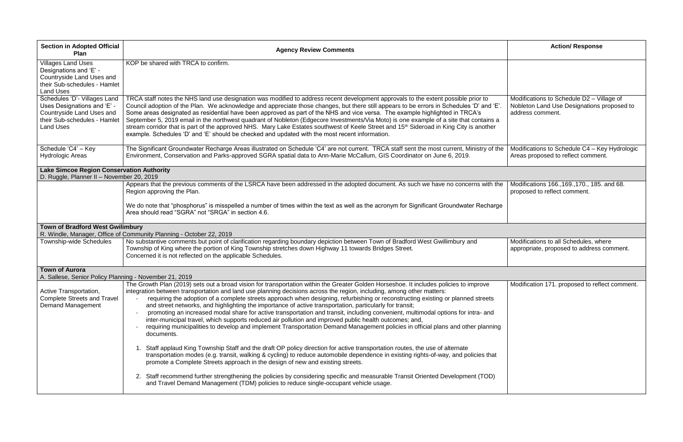|   | <b>Action/ Response</b>                                                                                     |
|---|-------------------------------------------------------------------------------------------------------------|
|   |                                                                                                             |
|   | Modifications to Schedule D2 - Village of<br>Nobleton Land Use Designations proposed to<br>address comment. |
| Э | Modifications to Schedule C4 - Key Hydrologic<br>Areas proposed to reflect comment.                         |
|   |                                                                                                             |
| è | Modifications 166., 169., 170., 185. and 68.<br>proposed to reflect comment.                                |
|   |                                                                                                             |
|   |                                                                                                             |
|   | Modifications to all Schedules, where<br>appropriate, proposed to address comment.                          |
|   |                                                                                                             |

| <b>Section in Adopted Official</b><br>Plan                                                                                                   | <b>Agency Review Comments</b>                                                                                                                                                                                                                                                                                                                                                                                                                                                                                                                                                                                                                                                                                                                                                                                                                                                                                    | <b>Action/ Response</b>                                                                 |
|----------------------------------------------------------------------------------------------------------------------------------------------|------------------------------------------------------------------------------------------------------------------------------------------------------------------------------------------------------------------------------------------------------------------------------------------------------------------------------------------------------------------------------------------------------------------------------------------------------------------------------------------------------------------------------------------------------------------------------------------------------------------------------------------------------------------------------------------------------------------------------------------------------------------------------------------------------------------------------------------------------------------------------------------------------------------|-----------------------------------------------------------------------------------------|
| <b>Villages Land Uses</b><br>Designations and 'E' -<br>Countryside Land Uses and<br>their Sub-schedules - Hamlet<br><b>Land Uses</b>         | KOP be shared with TRCA to confirm.                                                                                                                                                                                                                                                                                                                                                                                                                                                                                                                                                                                                                                                                                                                                                                                                                                                                              |                                                                                         |
| Schedules 'D'- Villages Land<br>Uses Designations and 'E' -<br>Countryside Land Uses and<br>their Sub-schedules - Hamlet<br><b>Land Uses</b> | TRCA staff notes the NHS land use designation was modified to address recent development approvals to the extent possible prior to<br>Council adoption of the Plan. We acknowledge and appreciate those changes, but there still appears to be errors in Schedules 'D' and 'E'.<br>Some areas designated as residential have been approved as part of the NHS and vice versa. The example highlighted in TRCA's<br>September 5, 2019 email in the northwest quadrant of Nobleton (Edgecore Investments/Via Moto) is one example of a site that contains a<br>stream corridor that is part of the approved NHS. Mary Lake Estates southwest of Keele Street and 15 <sup>th</sup> Sideroad in King City is another<br>example. Schedules 'D' and 'E' should be checked and updated with the most recent information.                                                                                               | Modifications to Schedule D2 - Vi<br>Nobleton Land Use Designations<br>address comment. |
| Schedule 'C4' - Key<br><b>Hydrologic Areas</b>                                                                                               | The Significant Groundwater Recharge Areas illustrated on Schedule 'C4' are not current. TRCA staff sent the most current, Ministry of the<br>Environment, Conservation and Parks-approved SGRA spatial data to Ann-Marie McCallum, GIS Coordinator on June 6, 2019.                                                                                                                                                                                                                                                                                                                                                                                                                                                                                                                                                                                                                                             | Modifications to Schedule C4 - Ke<br>Areas proposed to reflect commer                   |
| <b>Lake Simcoe Region Conservation Authority</b><br>D. Ruggle, Planner II - November 20, 2019                                                |                                                                                                                                                                                                                                                                                                                                                                                                                                                                                                                                                                                                                                                                                                                                                                                                                                                                                                                  |                                                                                         |
|                                                                                                                                              | Appears that the previous comments of the LSRCA have been addressed in the adopted document. As such we have no concerns with the<br>Region approving the Plan.<br>We do note that "phosphorus" is misspelled a number of times within the text as well as the acronym for Significant Groundwater Recharge                                                                                                                                                                                                                                                                                                                                                                                                                                                                                                                                                                                                      | Modifications 166., 169., 170., 185.<br>proposed to reflect comment.                    |
|                                                                                                                                              | Area should read "SGRA" not "SRGA" in section 4.6.                                                                                                                                                                                                                                                                                                                                                                                                                                                                                                                                                                                                                                                                                                                                                                                                                                                               |                                                                                         |
| <b>Town of Bradford West Gwilimbury</b>                                                                                                      | R. Windle, Manager, Office of Community Planning - October 22, 2019                                                                                                                                                                                                                                                                                                                                                                                                                                                                                                                                                                                                                                                                                                                                                                                                                                              |                                                                                         |
| Township-wide Schedules                                                                                                                      | No substantive comments but point of clarification regarding boundary depiction between Town of Bradford West Gwillimbury and<br>Township of King where the portion of King Township stretches down Highway 11 towards Bridges Street.<br>Concerned it is not reflected on the applicable Schedules.                                                                                                                                                                                                                                                                                                                                                                                                                                                                                                                                                                                                             | Modifications to all Schedules, wh<br>appropriate, proposed to address                  |
| <b>Town of Aurora</b><br>A. Sallese, Senior Policy Planning - November 21, 2019                                                              |                                                                                                                                                                                                                                                                                                                                                                                                                                                                                                                                                                                                                                                                                                                                                                                                                                                                                                                  |                                                                                         |
| Active Transportation,<br><b>Complete Streets and Travel</b><br><b>Demand Management</b>                                                     | The Growth Plan (2019) sets out a broad vision for transportation within the Greater Golden Horseshoe. It includes policies to improve<br>integration between transportation and land use planning decisions across the region, including, among other matters:<br>requiring the adoption of a complete streets approach when designing, refurbishing or reconstructing existing or planned streets<br>and street networks, and highlighting the importance of active transportation, particularly for transit;<br>promoting an increased modal share for active transportation and transit, including convenient, multimodal options for intra- and<br>inter-municipal travel, which supports reduced air pollution and improved public health outcomes; and,<br>requiring municipalities to develop and implement Transportation Demand Management policies in official plans and other planning<br>documents. | Modification 171. proposed to refle                                                     |
|                                                                                                                                              | Staff applaud King Township Staff and the draft OP policy direction for active transportation routes, the use of alternate<br>transportation modes (e.g. transit, walking & cycling) to reduce automobile dependence in existing rights-of-way, and policies that<br>promote a Complete Streets approach in the design of new and existing streets.<br>2. Staff recommend further strengthening the policies by considering specific and measurable Transit Oriented Development (TOD)                                                                                                                                                                                                                                                                                                                                                                                                                           |                                                                                         |
|                                                                                                                                              | and Travel Demand Management (TDM) policies to reduce single-occupant vehicle usage.                                                                                                                                                                                                                                                                                                                                                                                                                                                                                                                                                                                                                                                                                                                                                                                                                             |                                                                                         |

Modification 171. proposed to reflect comment.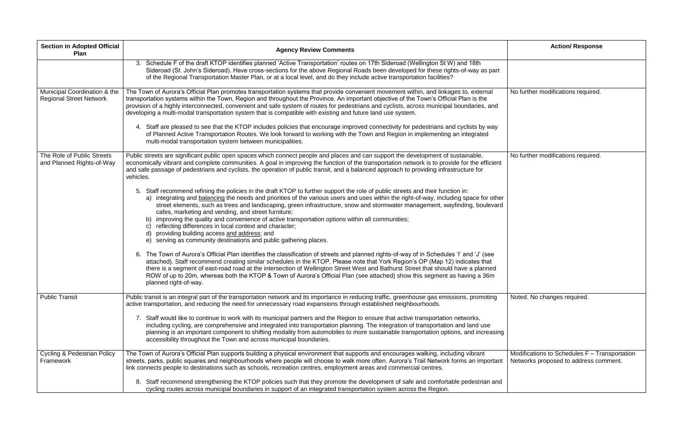| <b>Section in Adopted Official</b><br><b>Plan</b>              | <b>Agency Review Comments</b>                                                                                                                                                                                                                                                                                                                                                                                                                                                                                                                                                                                                                                                                                                                                    | <b>Action/ Response</b>                                                                |
|----------------------------------------------------------------|------------------------------------------------------------------------------------------------------------------------------------------------------------------------------------------------------------------------------------------------------------------------------------------------------------------------------------------------------------------------------------------------------------------------------------------------------------------------------------------------------------------------------------------------------------------------------------------------------------------------------------------------------------------------------------------------------------------------------------------------------------------|----------------------------------------------------------------------------------------|
|                                                                | 3. Schedule F of the draft KTOP identifies planned 'Active Transportation' routes on 17th Sideroad (Wellington St W) and 18th<br>Sideroad (St. John's Sideroad). Have cross-sections for the above Regional Roads been developed for these rights-of-way as part<br>of the Regional Transportation Master Plan, or at a local level, and do they include active transportation facilities?                                                                                                                                                                                                                                                                                                                                                                       |                                                                                        |
| Municipal Coordination & the<br><b>Regional Street Network</b> | The Town of Aurora's Official Plan promotes transportation systems that provide convenient movement within, and linkages to, external<br>transportation systems within the Town, Region and throughout the Province. An important objective of the Town's Official Plan is the<br>provision of a highly interconnected, convenient and safe system of routes for pedestrians and cyclists, across municipal boundaries, and<br>developing a multi-modal transportation system that is compatible with existing and future land use system.                                                                                                                                                                                                                       | No further modifications required.                                                     |
|                                                                | 4. Staff are pleased to see that the KTOP includes policies that encourage improved connectivity for pedestrians and cyclists by way<br>of Planned Active Transportation Routes. We look forward to working with the Town and Region in implementing an integrated<br>multi-modal transportation system between municipalities.                                                                                                                                                                                                                                                                                                                                                                                                                                  |                                                                                        |
| The Role of Public Streets<br>and Planned Rights-of-Way        | Public streets are significant public open spaces which connect people and places and can support the development of sustainable,<br>economically vibrant and complete communities. A goal in improving the function of the transportation network is to provide for the efficient<br>and safe passage of pedestrians and cyclists, the operation of public transit, and a balanced approach to providing infrastructure for<br>vehicles.                                                                                                                                                                                                                                                                                                                        | No further modifications required.                                                     |
|                                                                | 5. Staff recommend refining the policies in the draft KTOP to further support the role of public streets and their function in:<br>a) integrating and balancing the needs and priorities of the various users and uses within the right-of-way, including space for other<br>street elements, such as trees and landscaping, green infrastructure, snow and stormwater management, wayfinding, boulevard<br>cafes, marketing and vending, and street furniture;<br>b) improving the quality and convenience of active transportation options within all communities;<br>reflecting differences in local context and character;<br>C)<br>providing building access and address; and<br>d)<br>serving as community destinations and public gathering places.<br>e) |                                                                                        |
|                                                                | 6. The Town of Aurora's Official Plan identifies the classification of streets and planned rights-of-way of in Schedules 'I' and 'J' (see<br>attached). Staff recommend creating similar schedules in the KTOP. Please note that York Region's OP (Map 12) indicates that<br>there is a segment of east-road road at the intersection of Wellington Street West and Bathurst Street that should have a planned<br>ROW of up to 20m, whereas both the KTOP & Town of Aurora's Official Plan (see attached) show this segment as having a 36m<br>planned right-of-way.                                                                                                                                                                                             |                                                                                        |
| <b>Public Transit</b>                                          | Public transit is an integral part of the transportation network and its importance in reducing traffic, greenhouse gas emissions, promoting<br>active transportation, and reducing the need for unnecessary road expansions through established neighbourhoods.<br>7. Staff would like to continue to work with its municipal partners and the Region to ensure that active transportation networks,<br>including cycling, are comprehensive and integrated into transportation planning. The integration of transportation and land use<br>planning is an important component to shifting modality from automobiles to more sustainable transportation options, and increasing<br>accessibility throughout the Town and across municipal boundaries.           | Noted. No changes required.                                                            |
| <b>Cycling &amp; Pedestrian Policy</b><br>Framework            | The Town of Aurora's Official Plan supports building a physical environment that supports and encourages walking, including vibrant<br>streets, parks, public squares and neighbourhoods where people will choose to walk more often. Aurora's Trail Network forms an important<br>link connects people to destinations such as schools, recreation centres, employment areas and commercial centres.<br>Staff recommend strengthening the KTOP policies such that they promote the development of safe and comfortable pedestrian and<br>8.                                                                                                                                                                                                                     | Modifications to Schedules F - Transportation<br>Networks proposed to address comment. |
|                                                                | cycling routes across municipal boundaries in support of an integrated transportation system across the Region.                                                                                                                                                                                                                                                                                                                                                                                                                                                                                                                                                                                                                                                  |                                                                                        |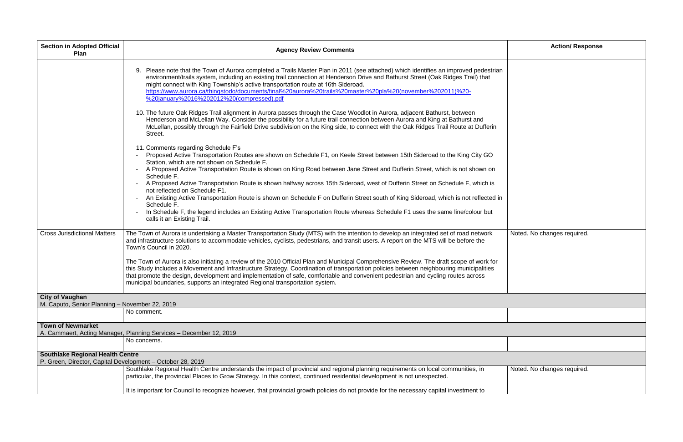| <b>Section in Adopted Official</b><br><b>Plan</b>                                                     | <b>Agency Review Comments</b>                                                                                                                                                                                                                                                                                                                                                                                                                                                                                          | <b>Action/ Response</b>     |
|-------------------------------------------------------------------------------------------------------|------------------------------------------------------------------------------------------------------------------------------------------------------------------------------------------------------------------------------------------------------------------------------------------------------------------------------------------------------------------------------------------------------------------------------------------------------------------------------------------------------------------------|-----------------------------|
|                                                                                                       | 9. Please note that the Town of Aurora completed a Trails Master Plan in 2011 (see attached) which identifies an improved pedestrian<br>environment/trails system, including an existing trail connection at Henderson Drive and Bathurst Street (Oak Ridges Trail) that<br>might connect with King Township's active transportation route at 16th Sideroad.<br>https://www.aurora.ca/thingstodo/documents/final%20aurora%20trails%20master%20pla%20(november%202011)%20-<br>%20january%2016%202012%20(compressed).pdf |                             |
|                                                                                                       | 10. The future Oak Ridges Trail alignment in Aurora passes through the Case Woodlot in Aurora, adjacent Bathurst, between<br>Henderson and McLellan Way. Consider the possibility for a future trail connection between Aurora and King at Bathurst and<br>McLellan, possibly through the Fairfield Drive subdivision on the King side, to connect with the Oak Ridges Trail Route at Dufferin<br>Street.                                                                                                              |                             |
|                                                                                                       | 11. Comments regarding Schedule F's<br>Proposed Active Transportation Routes are shown on Schedule F1, on Keele Street between 15th Sideroad to the King City GO<br>Station, which are not shown on Schedule F.                                                                                                                                                                                                                                                                                                        |                             |
|                                                                                                       | A Proposed Active Transportation Route is shown on King Road between Jane Street and Dufferin Street, which is not shown on<br>Schedule F.                                                                                                                                                                                                                                                                                                                                                                             |                             |
|                                                                                                       | A Proposed Active Transportation Route is shown halfway across 15th Sideroad, west of Dufferin Street on Schedule F, which is<br>not reflected on Schedule F1.                                                                                                                                                                                                                                                                                                                                                         |                             |
|                                                                                                       | An Existing Active Transportation Route is shown on Schedule F on Dufferin Street south of King Sideroad, which is not reflected in<br>Schedule F.                                                                                                                                                                                                                                                                                                                                                                     |                             |
|                                                                                                       | In Schedule F, the legend includes an Existing Active Transportation Route whereas Schedule F1 uses the same line/colour but<br>calls it an Existing Trail.                                                                                                                                                                                                                                                                                                                                                            |                             |
| <b>Cross Jurisdictional Matters</b>                                                                   | The Town of Aurora is undertaking a Master Transportation Study (MTS) with the intention to develop an integrated set of road network<br>and infrastructure solutions to accommodate vehicles, cyclists, pedestrians, and transit users. A report on the MTS will be before the<br>Town's Council in 2020.                                                                                                                                                                                                             | Noted. No changes required. |
|                                                                                                       | The Town of Aurora is also initiating a review of the 2010 Official Plan and Municipal Comprehensive Review. The draft scope of work for<br>this Study includes a Movement and Infrastructure Strategy. Coordination of transportation policies between neighbouring municipalities<br>that promote the design, development and implementation of safe, comfortable and convenient pedestrian and cycling routes across<br>municipal boundaries, supports an integrated Regional transportation system.                |                             |
| <b>City of Vaughan</b><br>M. Caputo, Senior Planning - November 22, 2019                              |                                                                                                                                                                                                                                                                                                                                                                                                                                                                                                                        |                             |
|                                                                                                       | No comment.                                                                                                                                                                                                                                                                                                                                                                                                                                                                                                            |                             |
| <b>Town of Newmarket</b>                                                                              | A. Cammaert, Acting Manager, Planning Services - December 12, 2019                                                                                                                                                                                                                                                                                                                                                                                                                                                     |                             |
|                                                                                                       | No concerns.                                                                                                                                                                                                                                                                                                                                                                                                                                                                                                           |                             |
| <b>Southlake Regional Health Centre</b><br>P. Green, Director, Capital Development - October 28, 2019 |                                                                                                                                                                                                                                                                                                                                                                                                                                                                                                                        |                             |
|                                                                                                       | Southlake Regional Health Centre understands the impact of provincial and regional planning requirements on local communities, in<br>particular, the provincial Places to Grow Strategy. In this context, continued residential development is not unexpected.                                                                                                                                                                                                                                                         | Noted. No changes required. |
|                                                                                                       | It is important for Council to recognize however, that provincial growth policies do not provide for the necessary capital investment to                                                                                                                                                                                                                                                                                                                                                                               |                             |